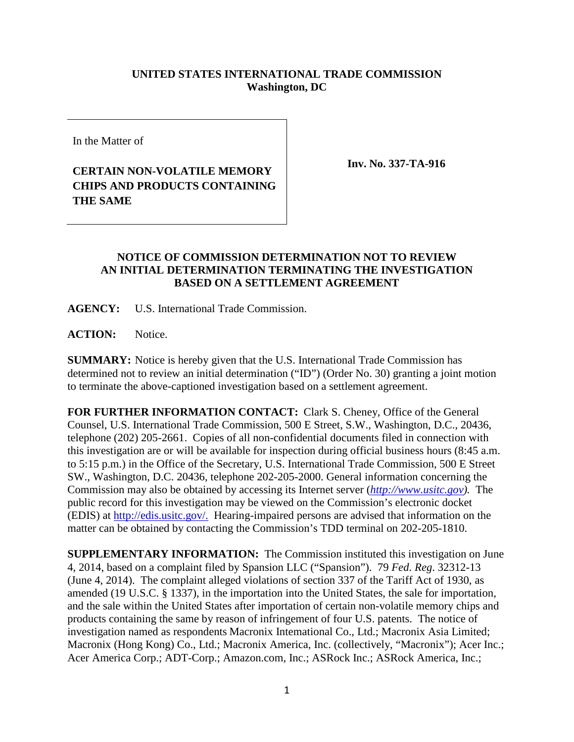## **UNITED STATES INTERNATIONAL TRADE COMMISSION Washington, DC**

In the Matter of

## **CERTAIN NON-VOLATILE MEMORY CHIPS AND PRODUCTS CONTAINING THE SAME**

**Inv. No. 337-TA-916**

## **NOTICE OF COMMISSION DETERMINATION NOT TO REVIEW AN INITIAL DETERMINATION TERMINATING THE INVESTIGATION BASED ON A SETTLEMENT AGREEMENT**

**AGENCY:** U.S. International Trade Commission.

**ACTION:** Notice.

**SUMMARY:** Notice is hereby given that the U.S. International Trade Commission has determined not to review an initial determination ("ID") (Order No. 30) granting a joint motion to terminate the above-captioned investigation based on a settlement agreement.

**FOR FURTHER INFORMATION CONTACT:** Clark S. Cheney, Office of the General Counsel, U.S. International Trade Commission, 500 E Street, S.W., Washington, D.C., 20436, telephone (202) 205-2661. Copies of all non-confidential documents filed in connection with this investigation are or will be available for inspection during official business hours (8:45 a.m. to 5:15 p.m.) in the Office of the Secretary, U.S. International Trade Commission, 500 E Street SW., Washington, D.C. 20436, telephone 202-205-2000. General information concerning the Commission may also be obtained by accessing its Internet server (*[http://www.usitc.gov\)](http://www.usitc.gov/).* The public record for this investigation may be viewed on the Commission's electronic docket (EDIS) at http://edis.usitc.gov/. Hearing-impaired persons are advised that information on the matter can be obtained by contacting the Commission's TDD terminal on 202-205-1810.

**SUPPLEMENTARY INFORMATION:** The Commission instituted this investigation on June 4, 2014, based on a complaint filed by Spansion LLC ("Spansion"). 79 *Fed. Reg*. 32312-13 (June 4, 2014). The complaint alleged violations of section 337 of the Tariff Act of 1930, as amended (19 U.S.C. § 1337), in the importation into the United States, the sale for importation, and the sale within the United States after importation of certain non-volatile memory chips and products containing the same by reason of infringement of four U.S. patents. The notice of investigation named as respondents Macronix Intemational Co., Ltd.; Macronix Asia Limited; Macronix (Hong Kong) Co., Ltd.; Macronix America, Inc. (collectively, "Macronix"); Acer Inc.; Acer America Corp.; ADT-Corp.; Amazon.com, Inc.; ASRock Inc.; ASRock America, Inc.;